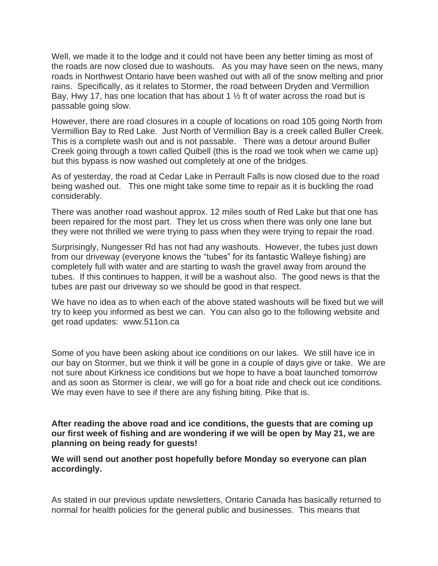Well, we made it to the lodge and it could not have been any better timing as most of the roads are now closed due to washouts. As you may have seen on the news, many roads in Northwest Ontario have been washed out with all of the snow melting and prior rains. Specifically, as it relates to Stormer, the road between Dryden and Vermillion Bay, Hwy 17, has one location that has about 1  $\frac{1}{2}$  ft of water across the road but is passable going slow.

However, there are road closures in a couple of locations on road 105 going North from Vermillion Bay to Red Lake. Just North of Vermillion Bay is a creek called Buller Creek. This is a complete wash out and is not passable. There was a detour around Buller Creek going through a town called Quibell (this is the road we took when we came up) but this bypass is now washed out completely at one of the bridges.

As of yesterday, the road at Cedar Lake in Perrault Falls is now closed due to the road being washed out. This one might take some time to repair as it is buckling the road considerably.

There was another road washout approx. 12 miles south of Red Lake but that one has been repaired for the most part. They let us cross when there was only one lane but they were not thrilled we were trying to pass when they were trying to repair the road.

Surprisingly, Nungesser Rd has not had any washouts. However, the tubes just down from our driveway (everyone knows the "tubes" for its fantastic Walleye fishing) are completely full with water and are starting to wash the gravel away from around the tubes. If this continues to happen, it will be a washout also. The good news is that the tubes are past our driveway so we should be good in that respect.

We have no idea as to when each of the above stated washouts will be fixed but we will try to keep you informed as best we can. You can also go to the following website and get road updates: www.511on.ca

Some of you have been asking about ice conditions on our lakes. We still have ice in our bay on Stormer, but we think it will be gone in a couple of days give or take. We are not sure about Kirkness ice conditions but we hope to have a boat launched tomorrow and as soon as Stormer is clear, we will go for a boat ride and check out ice conditions. We may even have to see if there are any fishing biting. Pike that is.

**After reading the above road and ice conditions, the guests that are coming up our first week of fishing and are wondering if we will be open by May 21, we are planning on being ready for guests!**

**We will send out another post hopefully before Monday so everyone can plan accordingly.** 

As stated in our previous update newsletters, Ontario Canada has basically returned to normal for health policies for the general public and businesses. This means that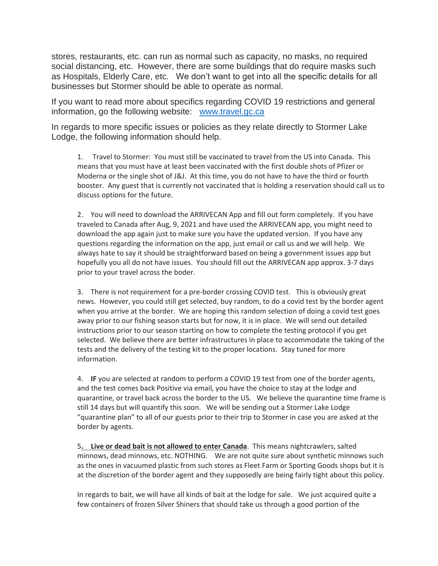stores, restaurants, etc. can run as normal such as capacity, no masks, no required social distancing, etc. However, there are some buildings that do require masks such as Hospitals, Elderly Care, etc. We don't want to get into all the specific details for all businesses but Stormer should be able to operate as normal.

If you want to read more about specifics regarding COVID 19 restrictions and general information, go the following website: [www.travel.gc.ca](http://www.travel.gc.ca/)

In regards to more specific issues or policies as they relate directly to Stormer Lake Lodge, the following information should help.

1. Travel to Stormer: You must still be vaccinated to travel from the US into Canada. This means that you must have at least been vaccinated with the first double shots of Pfizer or Moderna or the single shot of J&J. At this time, you do not have to have the third or fourth booster. Any guest that is currently not vaccinated that is holding a reservation should call us to discuss options for the future.

2. You will need to download the ARRIVECAN App and fill out form completely. If you have traveled to Canada after Aug, 9, 2021 and have used the ARRIVECAN app, you might need to download the app again just to make sure you have the updated version. If you have any questions regarding the information on the app, just email or call us and we will help. We always hate to say it should be straightforward based on being a government issues app but hopefully you all do not have issues. You should fill out the ARRIVECAN app approx. 3-7 days prior to your travel across the boder.

3. There is not requirement for a pre-border crossing COVID test. This is obviously great news. However, you could still get selected, buy random, to do a covid test by the border agent when you arrive at the border. We are hoping this random selection of doing a covid test goes away prior to our fishing season starts but for now, it is in place. We will send out detailed instructions prior to our season starting on how to complete the testing protocol if you get selected. We believe there are better infrastructures in place to accommodate the taking of the tests and the delivery of the testing kit to the proper locations. Stay tuned for more information.

4. **IF** you are selected at random to perform a COVID 19 test from one of the border agents, and the test comes back Positive via email, you have the choice to stay at the lodge and quarantine, or travel back across the border to the US. We believe the quarantine time frame is still 14 days but will quantify this soon. We will be sending out a Stormer Lake Lodge "quarantine plan" to all of our guests prior to their trip to Stormer in case you are asked at the border by agents.

5**. Live or dead bait is not allowed to enter Canada**. This means nightcrawlers, salted minnows, dead minnows, etc. NOTHING. We are not quite sure about synthetic minnows such as the ones in vacuumed plastic from such stores as Fleet Farm or Sporting Goods shops but it is at the discretion of the border agent and they supposedly are being fairly tight about this policy.

In regards to bait, we will have all kinds of bait at the lodge for sale. We just acquired quite a few containers of frozen Silver Shiners that should take us through a good portion of the